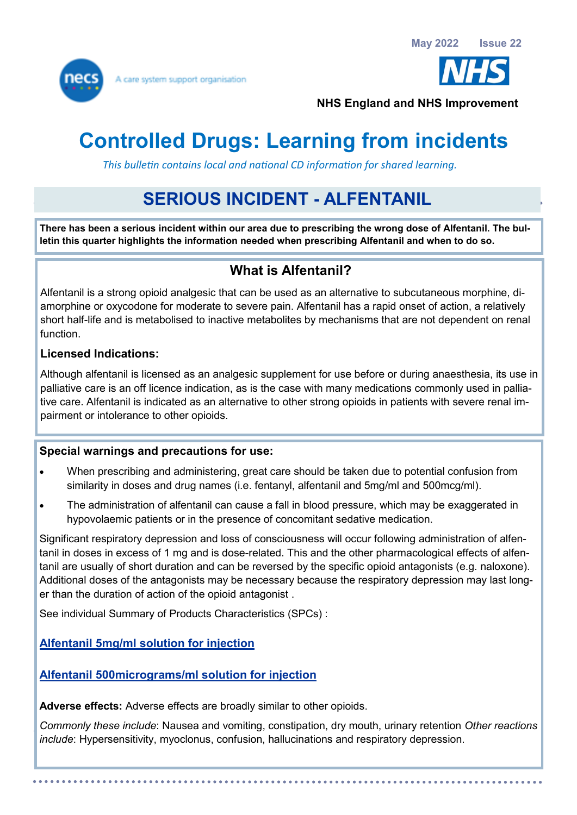



**NHS England and NHS Improvement**

# **Controlled Drugs: Learning from incidents**

 *This bulletin contains local and national CD information for shared learning.* 

## **SERIOUS INCIDENT - ALFENTANIL**

**There has been a serious incident within our area due to prescribing the wrong dose of Alfentanil. The bulletin this quarter highlights the information needed when prescribing Alfentanil and when to do so.** 

### **What is Alfentanil?**

Alfentanil is a strong opioid analgesic that can be used as an alternative to subcutaneous morphine, diamorphine or oxycodone for moderate to severe pain. Alfentanil has a rapid onset of action, a relatively short half-life and is metabolised to inactive metabolites by mechanisms that are not dependent on renal function.

#### **Licensed Indications:**

Although alfentanil is licensed as an analgesic supplement for use before or during anaesthesia, its use in palliative care is an off licence indication, as is the case with many medications commonly used in palliative care. Alfentanil is indicated as an alternative to other strong opioids in patients with severe renal impairment or intolerance to other opioids.

#### **Special warnings and precautions for use:**

- When prescribing and administering, great care should be taken due to potential confusion from similarity in doses and drug names (i.e. fentanyl, alfentanil and 5mg/ml and 500mcg/ml).
- The administration of alfentanil can cause a fall in blood pressure, which may be exaggerated in hypovolaemic patients or in the presence of concomitant sedative medication.

Significant respiratory depression and loss of consciousness will occur following administration of alfentanil in doses in excess of 1 mg and is dose-related. This and the other pharmacological effects of alfentanil are usually of short duration and can be reversed by the specific opioid antagonists (e.g. naloxone). Additional doses of the antagonists may be necessary because the respiratory depression may last longer than the duration of action of the opioid antagonist .

See individual Summary of Products Characteristics (SPCs) :

**[Alfentanil 5mg/ml solution for injection](https://www.medicines.org.uk/emc/product/6430/smpc)**

#### **[Alfentanil 500micrograms/ml solution for injection](https://www.medicines.org.uk/emc/product/6427/smpc)**

**Adverse effects:** Adverse effects are broadly similar to other opioids.

*Commonly these include*: Nausea and vomiting, constipation, dry mouth, urinary retention *Other reactions include*: Hypersensitivity, myoclonus, confusion, hallucinations and respiratory depression.